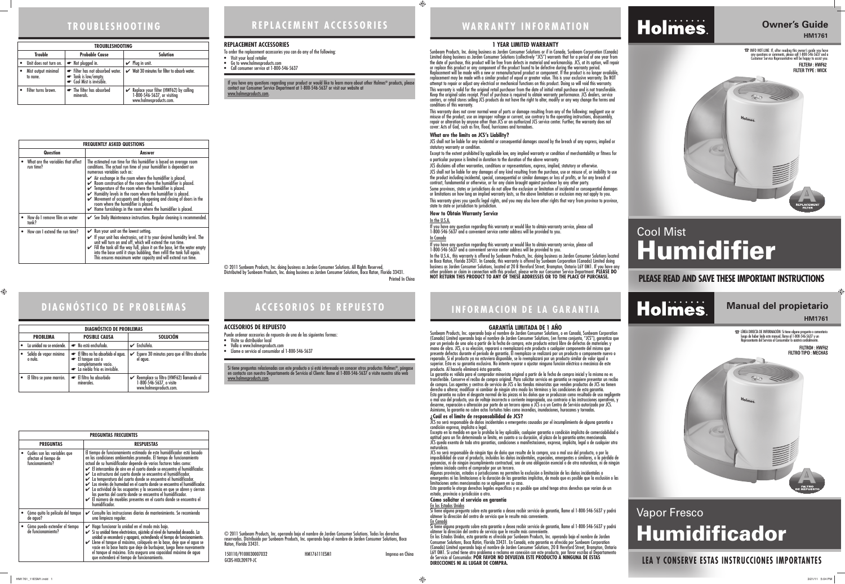# **WARRANTY INFORMATION**

# **INFORMACION DE LA GARANTIA**

© 2011 Sunbeam Products, Inc. doing business as Jarden Consumer Solutions. All Rights Reserved.

Distributed by Sunbeam Products, Inc. doing business as Jarden Consumer Solutions, Boca Raton, Florida 33431.

Printed In China

# **TROUBLESHOOTING**

# **DIAGNÓSTICO DE PROBLEMAS**

150110/9100030007032 HM176111ESM1 Impreso en China GCDS-HOL20979-JC

 $\bf \bigcirc$ 

© 2011 Sunbeam Products, Inc. operando bajo el nombre de Jarden Consumer Solutions. Todos los derechos reservados. Distribuido por Sunbeam Products, Inc. operando bajo el nombre de Jarden Consumer Solutions, Boca Raton, Florida 33431.

| <b>TROUBLESHOOTING</b> |                                 |                                                                                 |                                                                                                    |  |  |
|------------------------|---------------------------------|---------------------------------------------------------------------------------|----------------------------------------------------------------------------------------------------|--|--|
|                        | <b>Trouble</b>                  | <b>Probable Cause</b>                                                           | <b>Solution</b>                                                                                    |  |  |
|                        | Unit does not turn on.          | Not plugged in.                                                                 | $\vee$ Plug in unit.                                                                               |  |  |
|                        | Mist output minimal<br>to none. | Filter has not absorbed water.<br>Tank is low/empty.<br>Cool Mist is invisible. | Wait 30 minutes for filter to absorb water.                                                        |  |  |
|                        | Filter turns brown.             | The filter has absorbed<br>minerals.                                            | ✔ Replace your filter (HWF62) by calling<br>1-800-546-5637, or visiting<br>www.holmesproducts.com. |  |  |

| <b>DIAGNÓSTICO DE PROBLEMAS</b>   |                                                                                                                            |                                                                                                  |  |  |
|-----------------------------------|----------------------------------------------------------------------------------------------------------------------------|--------------------------------------------------------------------------------------------------|--|--|
| <b>PROBLEMA</b>                   | <b>POSIBLE CAUSA</b>                                                                                                       | <b>SOLUCIÓN</b>                                                                                  |  |  |
| La unidad no se enciende.         | No está enchufada.                                                                                                         | $\mathcal V$ Enchúfela.                                                                          |  |  |
| Salida de vapor mínima<br>o nula. | El filtro no ha absorbido el agua.<br>$\bullet$ El tanque casi o<br>completamente vacío.<br>• La niebla fría es invisible. | $\swarrow$ Espere 30 minutos para que el filtro absorba<br>el agua.                              |  |  |
| El filtro se pone marrón.         | El filtro ha absorbido<br>minerales.                                                                                       | ← Reemplace su filtro (HWF62) llamando al<br>1-800-546-5637, o visite<br>www.holmesproducts.com. |  |  |

# **ACCESORIOS DE REPUESTO**

#### **ACCESORIOS DE REPUESTO**

Puede ordenar accesorios de repuesto de una de las siguientes formas:

- Visite su distribuidor local
- Valla a www.holmesproducts.com • Llame a servicio al consumidor al 1-800-546-5637

### **REPLACEMENT ACCESSORIES**

- To order the replacement accessories you can do any of the following:
- Visit your local retailer • Go to www.holmesproducts.com
- Call consumer service at 1-800-546-5637

| <b>FREQUENTLY ASKED QUESTIONS</b>               |                                                                                                                                                                                                                                                                                                                                                                                                                                                                                                                                                                                                                                                                                             |  |  |  |
|-------------------------------------------------|---------------------------------------------------------------------------------------------------------------------------------------------------------------------------------------------------------------------------------------------------------------------------------------------------------------------------------------------------------------------------------------------------------------------------------------------------------------------------------------------------------------------------------------------------------------------------------------------------------------------------------------------------------------------------------------------|--|--|--|
| Question                                        | Answer                                                                                                                                                                                                                                                                                                                                                                                                                                                                                                                                                                                                                                                                                      |  |  |  |
| What are the variables that affect<br>run time? | The estimated run time for this humidifier is based on average room<br>conditions. The actual run time of your humidifier is dependent on<br>numerous variables such as:<br>$\swarrow$ Air exchange in the room where the humidifier is placed.<br>$\swarrow$ Room construction of the room where the humidifier is placed.<br>$\checkmark$ Temperature of the room where the humidifier is placed.<br>$\blacktriangleright$ Humidity levels in the room where the humidifier is placed.<br>Movement of occupants and the opening and closing of doors in the<br>room where the humidifier is placed.<br>$\blacktriangleright$ Home furnishings in the room where the humidifier is placed. |  |  |  |
| How do I remove film on water<br>tank?          | ► See Daily Maintenance instructions. Regular cleaning is recommended.                                                                                                                                                                                                                                                                                                                                                                                                                                                                                                                                                                                                                      |  |  |  |
| How can I extend the run time?                  | $\mathcal V$ Run your unit on the lowest setting.<br>$\blacktriangleright$ If your unit has electronics, set it to your desired humidity level. The unit will turn on and off, which will extend the run time.<br>$\checkmark$ Fill the tank all the way full, place it on the base, let the water empty into the base until it stops bubbling, then refill the tank full again.<br>This ensures maximum water capacity and will extend run time.                                                                                                                                                                                                                                           |  |  |  |

| <b>PREGUNTAS FRECUENTES</b>                                             |                                                                                                                                                                                                                                                                                                                                                                                                                                                                                                                                                                                                                                                                                                                                                                                                           |  |  |
|-------------------------------------------------------------------------|-----------------------------------------------------------------------------------------------------------------------------------------------------------------------------------------------------------------------------------------------------------------------------------------------------------------------------------------------------------------------------------------------------------------------------------------------------------------------------------------------------------------------------------------------------------------------------------------------------------------------------------------------------------------------------------------------------------------------------------------------------------------------------------------------------------|--|--|
| <b>PREGUNTAS</b>                                                        | <b>RESPUESTAS</b>                                                                                                                                                                                                                                                                                                                                                                                                                                                                                                                                                                                                                                                                                                                                                                                         |  |  |
| Cuáles son las variables que<br>afectan el tiempo de<br>funcionamiento? | El tiempo de funcionamiento estimado de este humidificador está basado<br>en las condiciones ambientales promedio. El tiempo de funcionamiento<br>actual de su humidificador depende de varios factores tales como:<br>$\swarrow$ El intercambio de aire en el cuarto donde se encuentra el humidificador.<br>$\mathcal V$ La estructura del cuarto donde se encuentra el humidificador.<br>$\mathcal V$ La temperatura del cuarto donde se encuentra el humidificador.<br>$\smile$ Los niveles de humedad en el cuarto donde se encuentra el humidificador.<br>$\mathcal V$ La actividad de los ocupantes y la secuencia en que se abren y cierran<br>las puertas del cuarto donde se encuentra el humidificador.<br>El número de muebles presentes en el cuarto donde se encuentra el<br>humidificador. |  |  |
| Cómo quito la película del tanque<br>de agua?                           | $\checkmark$ Consulte las instrucciones diarias de mantenimiento. Se recomienda<br>una limpieza regular.                                                                                                                                                                                                                                                                                                                                                                                                                                                                                                                                                                                                                                                                                                  |  |  |
| Cómo puedo extender el tiempo<br>de funcionamiento?                     | Haga funcionar la unidad en el modo más bajo.<br>Si su unidad tiene electrónicos, ajústela al nivel de humedad deseado. La<br>unidad se encenderá y apagará, extendiendo el tiempo de funcionamiento.<br>Llene el tanque al máximo, colóquelo en la base, deje que el agua se<br>vacíe en la base hasta que deje de burbujear, luego llene nuevamente<br>el tanque al máximo. Esto asegura una capacidad máxima de agua<br>que extenderá el tiempo de funcionamiento.                                                                                                                                                                                                                                                                                                                                     |  |  |

## **PLEASE READ AND SAVE THESE IMPORTANT INSTRUCTIONS**



## **Owner's Guide HM1761**

☎ INFO HOT-LINE: If, after reading this owner's guide you have any questions or comments, please call 1-800-546-5637 and a Customer Service Representative will be happy to assist you. **FILTER# : HWF62** 

# Cool Mist **Humidifier**

**FILTER TYPE : WICK**



# **LEA Y CONSERVE ESTAS INSTRUCCIONES IMPORTANTES**

# **Manual del propietario**

**HM1761**

☎ LÍNEA DIRECTA DE INFORMACIÓN: Si tiene alguna pregunta o comentario luego de haber leído este manual, llame al 1-800-546-5637 y un Representante del Servicio al Consumidor lo asistirá cordialmente.

# Vapor Fresco **Humidificador**

**FILTRO# : HWF62 FILTRO TIPO : MECHAS** 



#### **1 YEAR LIMITED WARRANTY**

Sunbeam Products, Inc. doing business as Jarden Consumer Solutions or if in Canada, Sunbeam Corporation (Canada) Limited doing business as Jarden Consumer Solutions (collectively "JCS") warrants that for a period of one year from the date of purchase, this product will be free from defects in material and workmanship. JCS, at its option, will repair or replace this product or any component of the product found to be defective during the warranty period.

Replacement will be made with a new or remanufactured product or component. If the product is no longer available, replacement may be made with a similar product of equal or greater value. This is your exclusive warranty. Do NOT attempt to repair or adjust any electrical or mechanical functions on this product. Doing so will void this warranty. This warranty is valid for the original retail purchaser from the date of initial retail purchase and is not transferable.

 Si tiene alguna pregunta sobre esta garantía o desea recibir servicio de garantía, llame al 1-800-546-5637 y podrá obtener la dirección del centro de servicio que le resulte más conveniente

Keep the original sales receipt. Proof of purchase is required to obtain warranty performance. JCS dealers, service centers, or retail stores selling JCS products do not have the right to alter, modify or any way change the terms and



 $\bigoplus$ 

This warranty does not cover normal wear of parts or damage resulting from any of the following: negligent use or misuse of the product, use on improper voltage or current, use contrary to the operating instructions, disassembly, repair or alteration by anyone other than JCS or an authorized JCS service center. Further, the warranty does not cover: Acts of God, such as fire, flood, hurricanes and tornadoes.

Si tiene preguntas relacionadas con este producto o si está interesado en conocer otros productos Holmes®, póngase<br>en contacto con nuestro Departamento de Servicio al Cliente: llame al 1-800-546-5637 o visite nuestro sitio www.holmesproducts.com.

#### **What are the limits on JCS's Liability?**

JCS shall not be liable for any incidental or consequential damages caused by the breach of any express, implied or

statutory warranty or condition.

Except to the extent prohibited by applicable law, any implied warranty or condition of merchantability or fitness for a particular purpose is limited in duration to the duration of the above warranty.

JCS disclaims all other warranties, conditions or representations, express, implied, statutory or otherwise.

JCS shall not be liable for any damages of any kind resulting from the purchase, use or misuse of, or inability to use the product including incidental, special, consequential or similar damages or loss of profits, or for any breach of contract, fundamental or otherwise, or for any claim brought against purchaser by any other party.

Some provinces, states or jurisdictions do not allow the exclusion or limitation of incidental or consequential damages or limitations on how long an implied warranty lasts, so the above limitations or exclusion may not apply to you. This warranty gives you specific legal rights, and you may also have other rights that vary from province to province, state to state or jurisdiction to jurisdiction.

#### **How to Obtain Warranty Service**

In the U.S.A. If you have any question regarding this warranty or would like to obtain warranty service, please call 1-800-546-5637 and a convenient service center address will be provided to you. In Canada

If you have any question regarding this warranty or would like to obtain warranty service, please call 1-800-546-5637 and a convenient service center address will be provided to you. In the U.S.A., this warranty is offered by Sunbeam Products, Inc. doing business as Jarden Consumer Solutions located in Boca Raton, Florida 33431. In Canada, this warranty is offered by Sunbeam Corporation (Canada) Limited doing business as Jarden Consumer Solutions, located at 20 B Hereford Street, Brampton, Ontario L6Y 0M1. If you have any other problem or claim in connection with this product, please write our Consumer Service Department. **PLEASE DO NOT RETURN THIS PRODUCT TO ANY OF THESE ADDRESSES OR TO THE PLACE OF PURCHASE.**

#### **GARANTÍA LIMITADA DE 1 AÑO**

Sunbeam Products, Inc. operando bajo el nombre de Jarden Consumer Solutions, o en Canadá, Sunbeam Corporation (Canada) Limited operando bajo el nombre de Jarden Consumer Solutions, (en forma conjunta, "JCS"), garantiza que por un período de uno año a partir de la fecha de compra, este producto estará libre de defectos de materiales y mano de obra. JCS, a su elección, reparará o reemplazará este producto o cualquier componente del mismo que presente defectos durante el período de garantía. El reemplazo se realizará por un producto o componente nuevo o reparado. Si el producto ya no estuviera disponible, se lo reemplazará por un producto similar de valor igual o superior. Ésta es su garantía exclusiva. No intente reparar o ajustar ninguna función eléctrica o mecánica de este

La garantía es válida para el comprador minorista original a partir de la fecha de compra inicial y la misma no es transferible. Conserve el recibo de compra original. Para solicitar servicio en garantía se requiere presentar un recibo de compra. Los agentes y centros de servicio de JCS o las tiendas minoristas que venden productos de JCS no tienen derecho a alterar, modificar ni cambiar de ningún otro modo los términos y las condiciones de esta garantía. Esta garantía no cubre el desgaste normal de las piezas ni los daños que se produzcan como resultado de uso negligente

# producto. Al hacerlo elimínará ésta garantía.  **¿Cuál es el límite de responsabilidad de JCS?**  condición expresa, implícita o legal. naturaleza.

o mal uso del producto, uso de voltaje incorrecto o corriente inapropiada, uso contrario a las instrucciones operativas, y desarme, reparación o alteración por parte de un tercero ajeno a JCS o a un Centro de Servicio autorizado por JCS. Asimismo, la garantía no cubre actos fortuitos tales como incendios, inundaciones, huracanes y tornados.

 JCS no será responsable de daños incidentales o emergentes causados por el incumplimiento de alguna garantía o Excepto en la medida en que lo prohíba la ley aplicable, cualquier garantía o condición implícita de comerciabilidad o

aptitud para un fin determinado se limita, en cuanto a su duración, al plazo de la garantía antes mencionada. JCS queda exenta de toda otra garantías, condiciones o manifestaciones, expresa, implícita, legal o de cualquier otra

JCS no será responsable de ningún tipo de daño que resulte de la compra, uso o mal uso del producto, o por la imposibilidad de usar el producto, incluidos los daños incidentales, especiales, emergentes o similares, o la pérdida de ganancias, ni de ningún incumplimiento contractual, sea de una obligación esencial o de otra naturaleza, ni de ningún reclamo iniciado contra el comprador por un tercero.

Algunas provincias, estados o jurisdicciones no permiten la exclusión o limitación de los daños incidentales o emergentes ni las limitaciones a la duración de las garantías implícitas, de modo que es posible que la exclusión o las limitaciones antes mencionadas no se apliquen en su caso.

Esta garantía le otorga derechos legales específicos y es posible que usted tenga otros derechos que varían de un

estado, provincia o jurisdicción a otro.  **Cómo solicitar el servicio en garantía**  En los Estados Unidos En Canadá

 Si tiene alguna pregunta sobre esta garantía o desea recibir servicio de garantía, llame al 1-800-546-5637 y podrá obtener la dirección del centro de servicio que le resulte más conveniente.

 En los Estados Unidos, esta garantía es ofrecida por Sunbeam Products, Inc. operando bajo el nombre de Jarden Consumer Solutions, Boca Ratón, Florida 33431. En Canadá, esta garantía es ofrecida por Sunbeam Corporation (Canada) Limited operando bajo el nombre de Jarden Consumer Solutions, 20 B Hereford Street, Brampton, Ontario L6Y 0M1. Si usted tiene otro problema o reclamo en conexión con este producto, por favor escriba al Departamento

de Servicio al Consumidor. **POR FAVOR NO DEVUELVA ESTE PRODUCTO A NINGUNA DE ESTAS DIRECCIONES NI AL LUGAR DE COMPRA.**

# Holmes.

If you have any questions regarding your product or would like to learn more about other Holmes® products, please contact our Consumer Service Department at 1-800-546-5637 or visit our website at www.holmesproducts.com.